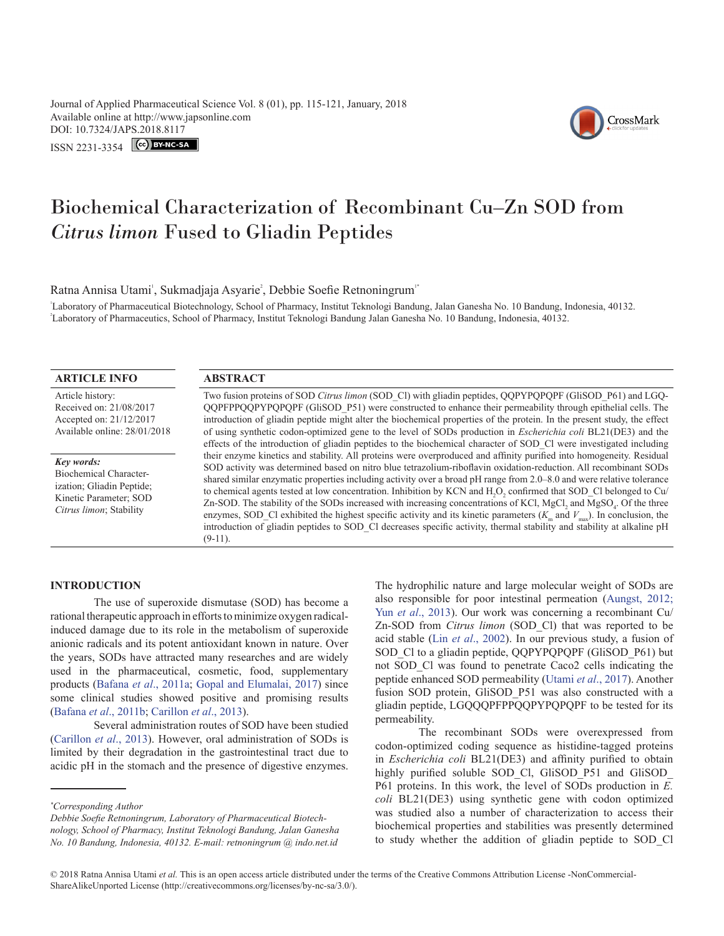Journal of Applied Pharmaceutical Science Vol. 8 (01), pp. 115-121, January, 2018 Available online at http://www.japsonline.com DOI: 10.7324/JA[PS.2018.8117](https://creativecommons.org/licenses/by-nc-sa/3.0/)

ISSN 2231-3354 CC BY-NC-SA



# Biochemical Characterization of Recombinant Cu–Zn SOD from *Citrus limon* Fused to Gliadin Peptides

Ratna Annisa Utami', Sukmadjaja Asyarie<sup>2</sup>, Debbie Soefie Retnoningrum<sup>1</sup>

1 Laboratory of Pharmaceutical Biotechnology, School of Pharmacy, Institut Teknologi Bandung, Jalan Ganesha No. 10 Bandung, Indonesia, 40132. 2 Laboratory of Pharmaceutics, School of Pharmacy, Institut Teknologi Bandung Jalan Ganesha No. 10 Bandung, Indonesia, 40132.

| <b>ARTICLE INFO</b>                                                                                                                                                               | <b>ABSTRACT</b>                                                                                                                      |
|-----------------------------------------------------------------------------------------------------------------------------------------------------------------------------------|--------------------------------------------------------------------------------------------------------------------------------------|
| Article history:                                                                                                                                                                  | Two fusion proteins of SOD <i>Citrus limon</i> (SOD Cl) with gliadin peptides, QQPYPQPQPF (GliSOD P61) and LGQ-                      |
| Received on: 21/08/2017                                                                                                                                                           | QQPFPPQQPYPQPQPF (GliSOD P51) were constructed to enhance their permeability through epithelial cells. The                           |
| Accepted on: 21/12/2017<br>Available online: 28/01/2018<br>Key words:<br>Biochemical Character-<br>ization; Gliadin Peptide;<br>Kinetic Parameter; SOD<br>Citrus limon; Stability | introduction of gliadin peptide might alter the biochemical properties of the protein. In the present study, the effect              |
|                                                                                                                                                                                   | of using synthetic codon-optimized gene to the level of SODs production in <i>Escherichia coli</i> BL21(DE3) and the                 |
|                                                                                                                                                                                   | effects of the introduction of gliadin peptides to the biochemical character of SOD CI were investigated including                   |
|                                                                                                                                                                                   | their enzyme kinetics and stability. All proteins were overproduced and affinity purified into homogeneity. Residual                 |
|                                                                                                                                                                                   | SOD activity was determined based on nitro blue tetrazolium-riboflavin oxidation-reduction. All recombinant SODs                     |
|                                                                                                                                                                                   | shared similar enzymatic properties including activity over a broad pH range from 2.0–8.0 and were relative tolerance                |
|                                                                                                                                                                                   | to chemical agents tested at low concentration. Inhibition by KCN and H,O, confirmed that SOD Cl belonged to Cu/                     |
|                                                                                                                                                                                   | Zn-SOD. The stability of the SODs increased with increasing concentrations of KCl, MgCl, and MgSO. Of the three                      |
|                                                                                                                                                                                   | enzymes, SOD Cl exhibited the highest specific activity and its kinetic parameters $(K_m$ and $V_{\text{max}})$ . In conclusion, the |
|                                                                                                                                                                                   | introduction of gliadin peptides to SOD_Cl decreases specific activity, thermal stability and stability at alkaline pH               |
|                                                                                                                                                                                   | $(9-11)$ .                                                                                                                           |

## **INTRODUCTION**

The use of superoxide dismutase (SOD) has become a rational therapeutic approach in efforts to minimize oxygen radicalinduced damage due to its role in the metabolism of superoxide anionic radicals and its potent antioxidant known in nature. Over the years, SODs have attracted many researches and are widely used in the pharmaceutical, cosmetic, food, supplementary products (Bafana *et al*., 2011a; [Gopal and Elumalai, 2017\)](#page-5-0) since some clinical studies showed positive and promising results (Bafana *et al*., 2011b; [Carillon](#page-5-1) *et al*., 2013).

Several administration routes of SOD have been studied ([Carillon](#page-5-1) *et al*., 2013). However, oral administration of SODs is limited by their degradation in the gastrointestinal tract due to acidic pH in the stomach and the presence of digestive enzymes.

*Debbie Soefie Retnoningrum, Laboratory of Pharmaceutical Biotechnology, School of Pharmacy, Institut Teknologi Bandung, Jalan Ganesha No. 10 Bandung, Indonesia, 40132. E-mail: retnoningrum @ indo.net.id* 

The hydrophilic nature and large molecular weight of SODs are also responsible for poor intestinal permeation (Aungst, 2012; Yun *et al*[., 2013\)](#page-6-0). Our work was concerning a recombinant Cu/ Zn-SOD from *Citrus limon* (SOD\_Cl) that was reported to be acid stable (Lin *et al*., 2002). In our previous study, a fusion of SOD Cl to a gliadin peptide, QQPYPQPQPF (GliSOD\_P61) but not SOD\_Cl was found to penetrate Caco2 cells indicating the peptide enhanced SOD permeability (Utami *et al*[., 2017\)](#page-6-1). Another fusion SOD protein, GliSOD P51 was also constructed with a gliadin peptide, LGQQQPFPPQQPYPQPQPF to be tested for its permeability.

The recombinant SODs were overexpressed from codon-optimized coding sequence as histidine-tagged proteins in *Escherichia coli* BL21(DE3) and affinity purified to obtain highly purified soluble SOD Cl, GliSOD P51 and GliSOD P61 proteins. In this work, the level of SODs production in *E. coli* BL21(DE3) using synthetic gene with codon optimized was studied also a number of characterization to access their biochemical properties and stabilities was presently determined to study whether the addition of gliadin peptide to SOD\_Cl

*<sup>\*</sup> Corresponding Author*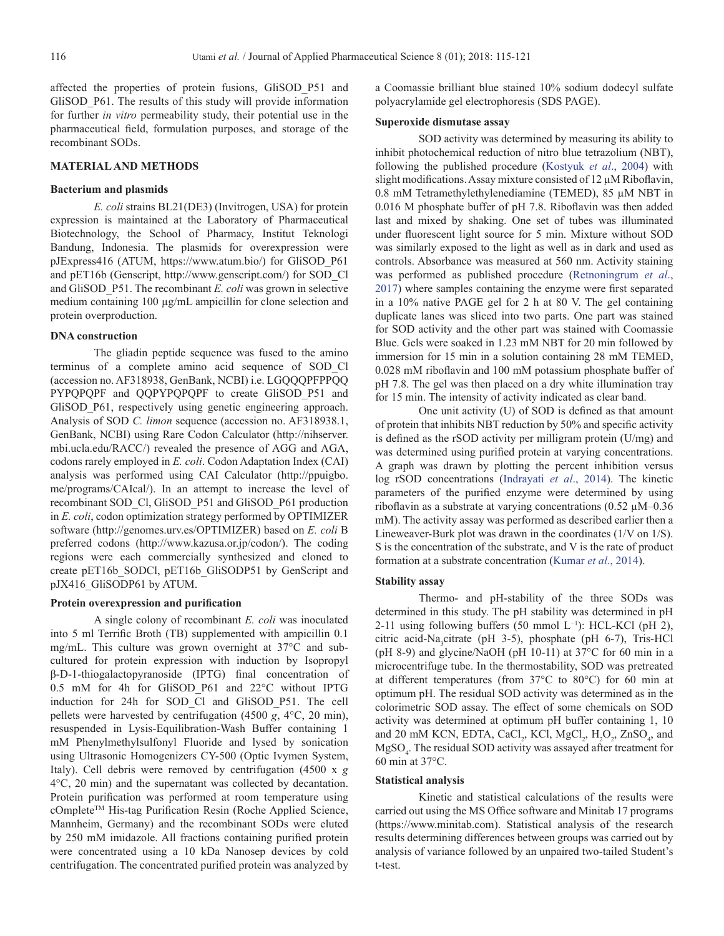affected the properties of protein fusions, GliSOD\_P51 and GliSOD P61. The results of this study will provide information for further *in vitro* permeability study, their potential use in the pharmaceutical field, formulation purposes, and storage of the recombinant SODs.

#### **MATERIAL AND METHODS**

#### **Bacterium and plasmids**

*E. coli* strains BL21(DE3) (Invitrogen, USA) for protein expression is maintained at the Laboratory of Pharmaceutical Biotechnology, the School of Pharmacy, Institut Teknologi Bandung, Indonesia. The plasmids for overexpression were pJExpress416 (ATUM, https://www.atum.bio/) for GliSOD\_P61 and pET16b (Genscript, http://www.genscript.com/) for SOD\_Cl and GliSOD\_P51. The recombinant *E. coli* was grown in selective medium containing 100 µg/mL ampicillin for clone selection and protein overproduction.

#### **DNA construction**

The gliadin peptide sequence was fused to the amino terminus of a complete amino acid sequence of SOD\_Cl (accession no. AF318938, GenBank, NCBI) i.e. LGQQQPFPPQQ PYPQPQPF and QQPYPQPQPF to create GliSOD\_P51 and GliSOD\_P61, respectively using genetic engineering approach. Analysis of SOD *C. limon* sequence (accession no. AF318938.1, GenBank, NCBI) using Rare Codon Calculator (http://nihserver. mbi.ucla.edu/RACC/) revealed the presence of AGG and AGA, codons rarely employed in *E. coli*. Codon Adaptation Index (CAI) analysis was performed using CAI Calculator (http://ppuigbo. me/programs/CAIcal/). In an attempt to increase the level of recombinant SOD\_Cl, GliSOD\_P51 and GliSOD\_P61 production in *E. coli*, codon optimization strategy performed by OPTIMIZER software (http://genomes.urv.es/OPTIMIZER) based on *E. coli* B preferred codons (http://www.kazusa.or.jp/codon/). The coding regions were each commercially synthesized and cloned to create pET16b\_SODCl, pET16b\_GliSODP51 by GenScript and pJX416\_GliSODP61 by ATUM.

#### **Protein overexpression and purification**

A single colony of recombinant *E. coli* was inoculated into 5 ml Terrific Broth (TB) supplemented with ampicillin 0.1 mg/mL. This culture was grown overnight at 37°C and subcultured for protein expression with induction by Isopropyl β-D-1-thiogalactopyranoside (IPTG) final concentration of 0.5 mM for 4h for GliSOD\_P61 and 22°C without IPTG induction for 24h for SOD\_Cl and GliSOD\_P51. The cell pellets were harvested by centrifugation (4500 *g*, 4°C, 20 min), resuspended in Lysis-Equilibration-Wash Buffer containing 1 mM Phenylmethylsulfonyl Fluoride and lysed by sonication using Ultrasonic Homogenizers CY-500 (Optic Ivymen System, Italy). Cell debris were removed by centrifugation (4500 x *g* 4°C, 20 min) and the supernatant was collected by decantation. Protein purification was performed at room temperature using cOmpleteTM His-tag Purification Resin (Roche Applied Science, Mannheim, Germany) and the recombinant SODs were eluted by 250 mM imidazole. All fractions containing purified protein were concentrated using a 10 kDa Nanosep devices by cold centrifugation. The concentrated purified protein was analyzed by

a Coomassie brilliant blue stained 10% sodium dodecyl sulfate polyacrylamide gel electrophoresis (SDS PAGE).

#### **Superoxide dismutase assay**

SOD activity was determined by measuring its ability to inhibit photochemical reduction of nitro blue tetrazolium (NBT), following the published procedure (Kostyuk *et al*., 2004) with slight modifications. Assay mixture consisted of 12  $\mu$ M Riboflavin, 0.8 mM Tetramethylethylenediamine (TEMED), 85 µM NBT in 0.016 M phosphate buffer of pH 7.8. Riboflavin was then added last and mixed by shaking. One set of tubes was illuminated under fluorescent light source for 5 min. Mixture without SOD was similarly exposed to the light as well as in dark and used as controls. Absorbance was measured at 560 nm. Activity staining was performed as published procedure (Retnoningrum *et al*., 2017) where samples containing the enzyme were first separated in a 10% native PAGE gel for 2 h at 80 V. The gel containing duplicate lanes was sliced into two parts. One part was stained for SOD activity and the other part was stained with Coomassie Blue. Gels were soaked in 1.23 mM NBT for 20 min followed by immersion for 15 min in a solution containing 28 mM TEMED, 0.028 mM riboflavin and 100 mM potassium phosphate buffer of pH 7.8. The gel was then placed on a dry white illumination tray for 15 min. The intensity of activity indicated as clear band.

One unit activity (U) of SOD is defined as that amount of protein that inhibits NBT reduction by 50% and specific activity is defined as the rSOD activity per milligram protein (U/mg) and was determined using purified protein at varying concentrations. A graph was drawn by plotting the percent inhibition versus log rSOD concentrations (Indrayati *et al*., 2014). The kinetic parameters of the purified enzyme were determined by using riboflavin as a substrate at varying concentrations  $(0.52 \mu M - 0.36$ mM). The activity assay was performed as described earlier then a Lineweaver-Burk plot was drawn in the coordinates (1/V on 1/S). S is the concentration of the substrate, and V is the rate of product formation at a substrate concentration (Kumar *et al*., 2014).

## **Stability assay**

Thermo- and pH-stability of the three SODs was determined in this study. The pH stability was determined in pH 2-11 using following buffers (50 mmol L<sup>-1</sup>): HCL-KCl (pH 2), citric acid-Na<sub>3</sub>citrate (pH 3-5), phosphate (pH 6-7), Tris-HCl (pH 8-9) and glycine/NaOH (pH 10-11) at 37°C for 60 min in a microcentrifuge tube. In the thermostability, SOD was pretreated at different temperatures (from 37°C to 80°C) for 60 min at optimum pH. The residual SOD activity was determined as in the colorimetric SOD assay. The effect of some chemicals on SOD activity was determined at optimum pH buffer containing 1, 10 and 20 mM KCN, EDTA, CaCl<sub>2</sub>, KCl, MgCl<sub>2</sub>, H<sub>2</sub>O<sub>2</sub>, ZnSO<sub>4</sub>, and MgSO4 . The residual SOD activity was assayed after treatment for 60 min at 37°C.

## **Statistical analysis**

Kinetic and statistical calculations of the results were carried out using the MS Office software and Minitab 17 programs (https://www.minitab.com). Statistical analysis of the research results determining differences between groups was carried out by analysis of variance followed by an unpaired two-tailed Student's t-test.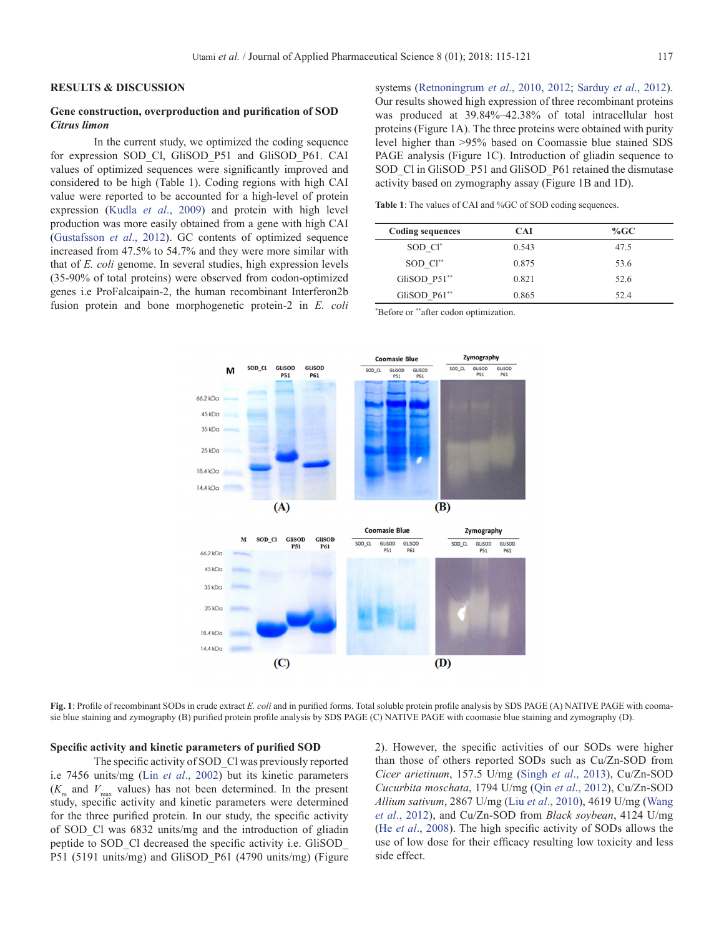## **RESULTS & DISCUSSION**

## **Gene construction, overproduction and purification of SOD**  *Citrus limon*

In the current study, we optimized the coding sequence for expression SOD\_Cl, GliSOD\_P51 and GliSOD\_P61. CAI values of optimized sequences were significantly improved and considered to be high (Table 1). Coding regions with high CAI value were reported to be accounted for a high-level of protein expression (Kudla *et al*., 2009) and protein with high level production was more easily obtained from a gene with high CAI (Gustafsson *et al*., 2012). GC contents of optimized sequence increased from 47.5% to 54.7% and they were more similar with that of *E. coli* genome. In several studies, high expression levels (35-90% of total proteins) were observed from codon-optimized genes i.e ProFalcaipain-2, the human recombinant Interferon2b fusion protein and bone morphogenetic protein-2 in *E. coli* systems ([Retnoningrum](#page-6-2) *et al*., 2010, 2012; Sarduy *et al*., 2012). Our results showed high expression of three recombinant proteins was produced at 39.84%–42.38% of total intracellular host proteins (Figure 1A). The three proteins were obtained with purity level higher than >95% based on Coomassie blue stained SDS PAGE analysis (Figure 1C). Introduction of gliadin sequence to SOD\_Cl in GliSOD\_P51 and GliSOD\_P61 retained the dismutase activity based on zymography assay (Figure 1B and 1D).

**Table 1**: The values of CAI and %GC of SOD coding sequences.

| <b>Coding sequences</b> | <b>CAI</b> | $%$ GC |
|-------------------------|------------|--------|
| SOD Cl <sup>*</sup>     | 0.543      | 47.5   |
| SOD Cl <sup>**</sup>    | 0.875      | 53.6   |
| GliSOD P51**            | 0.821      | 52.6   |
| GliSOD P61**            | 0.865      | 52.4   |

\* Before or \*\*after codon optimization.



**Fig. 1**: Profile of recombinant SODs in crude extract *E. coli* and in purified forms. Total soluble protein profile analysis by SDS PAGE (A) NATIVE PAGE with coomasie blue staining and zymography (B) purified protein profile analysis by SDS PAGE (C) NATIVE PAGE with coomasie blue staining and zymography (D).

#### **Specific activity and kinetic parameters of purified SOD**

The specific activity of SOD\_Cl was previously reported i.e 7456 units/mg (Lin *et al*., 2002) but its kinetic parameters  $(K<sub>m</sub>$  and  $V<sub>max</sub>$  values) has not been determined. In the present study, specific activity and kinetic parameters were determined for the three purified protein. In our study, the specific activity of SOD\_Cl was 6832 units/mg and the introduction of gliadin peptide to SOD\_Cl decreased the specific activity i.e. GliSOD\_ P51 (5191 units/mg) and GliSOD\_P61 (4790 units/mg) (Figure

2). However, the specific activities of our SODs were higher than those of others reported SODs such as Cu/Zn-SOD from *Cicer arietinum*, 157.5 U/mg (Singh *et al*., 2013), Cu/Zn-SOD *Cucurbita moschata*, 1794 U/mg (Qin *et al*., 2012), Cu/Zn-SOD *Allium sativum*, 2867 U/mg (Liu *et al*., 2010), 4619 U/mg [\(Wang](#page-6-3) *et al*[., 2012\)](#page-6-3), and Cu/Zn-SOD from *Black soybean*, 4124 U/mg (He *et al*., 2008). The high specific activity of SODs allows the use of low dose for their efficacy resulting low toxicity and less side effect.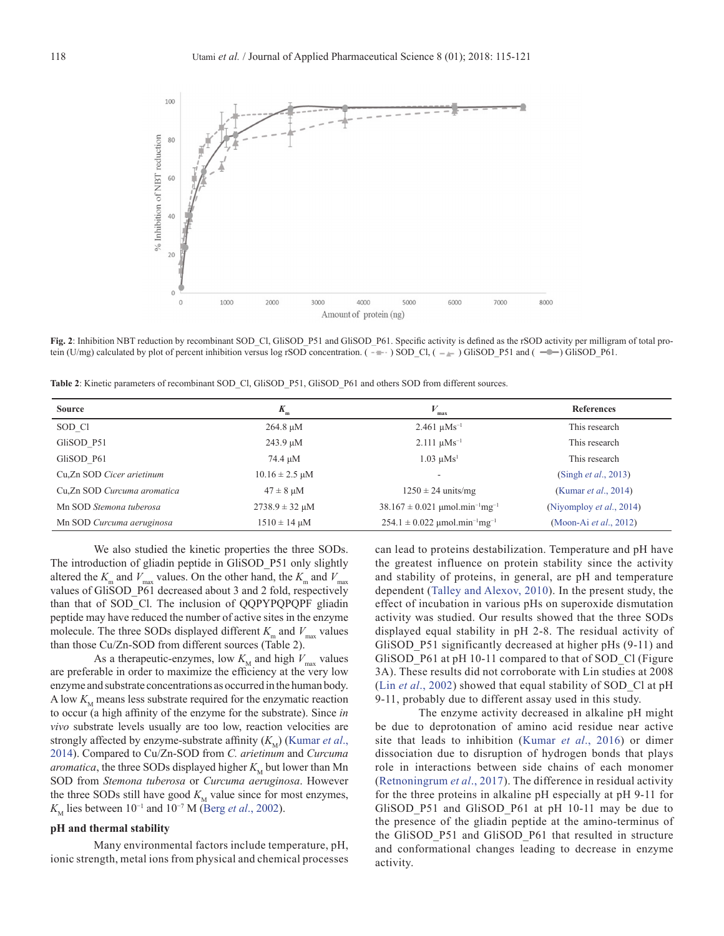

Fig. 2: Inhibition NBT reduction by recombinant SOD\_Cl, GliSOD\_P51 and GliSOD\_P61. Specific activity is defined as the rSOD activity per milligram of total protein (U/mg) calculated by plot of percent inhibition versus log rSOD concentration. ( $-\$ ) SOD\_Cl, ( $-\$ ) GliSOD\_P51 and ( $-\$ ) GliSOD\_P61.

**Table 2**: Kinetic parameters of recombinant SOD\_Cl, GliSOD\_P51, GliSOD\_P61 and others SOD from different sources.

| <b>Source</b>               | $K_{\rm m}$                         | max                                                        | <b>References</b>                |
|-----------------------------|-------------------------------------|------------------------------------------------------------|----------------------------------|
| SOD CI                      | $264.8 \mu M$                       | $2.461 \text{ }\mu\text{Ms}^{-1}$                          | This research                    |
| GliSOD P51                  | 243.9 µM                            | $2.111 \mu M s^{-1}$                                       | This research                    |
| GliSOD P61                  | 74.4 µM                             | $1.03 \text{ uMs}^1$                                       | This research                    |
| Cu.Zn SOD Cicer arietinum   | $10.16 \pm 2.5 \text{ }\mu\text{M}$ | $\overline{\phantom{a}}$                                   | (Singh <i>et al.</i> , 2013)     |
| Cu,Zn SOD Curcuma aromatica | $47 \pm 8$ µM                       | $1250 \pm 24$ units/mg                                     | (Kumar <i>et al.</i> , 2014)     |
| Mn SOD Stemona tuberosa     | $2738.9 \pm 32 \,\mu M$             | $38.167 \pm 0.021$ µmol.min <sup>-1</sup> mg <sup>-1</sup> | (Niyomploy <i>et al.</i> , 2014) |
| Mn SOD Curcuma aeruginosa   | $1510 \pm 14 \mu M$                 | $254.1 \pm 0.022$ µmol.min <sup>-1</sup> mg <sup>-1</sup>  | (Moon-Ai et al., 2012)           |

We also studied the kinetic properties the three SODs. The introduction of gliadin peptide in GliSOD\_P51 only slightly altered the  $K_{\text{m}}$  and  $V_{\text{max}}$  values. On the other hand, the  $K_{\text{m}}$  and  $V_{\text{max}}$ values of GliSOD\_P61 decreased about 3 and 2 fold, respectively than that of SOD\_Cl. The inclusion of QQPYPQPQPF gliadin peptide may have reduced the number of active sites in the enzyme molecule. The three SODs displayed different  $K_{\text{m}}$  and  $V_{\text{max}}$  values than those Cu/Zn-SOD from different sources (Table 2).

As a therapeutic-enzymes, low  $K_{\text{M}}$  and high  $V_{\text{max}}$  values are preferable in order to maximize the efficiency at the very low enzyme and substrate concentrations as occurred in the human body. A low  $K_{\text{M}}$  means less substrate required for the enzymatic reaction to occur (a high affinity of the enzyme for the substrate). Since *in vivo* substrate levels usually are too low, reaction velocities are strongly affected by enzyme-substrate affinity  $(K_M)$  (Kumar *et al.*, 2014). Compared to Cu/Zn-SOD from *C. arietinum* and *Curcuma aromatica*, the three SODs displayed higher  $K<sub>M</sub>$  but lower than Mn SOD from *Stemona tuberosa* or *Curcuma aeruginosa*. However the three SODs still have good  $K<sub>M</sub>$  value since for most enzymes, *K*<sub>M</sub> lies between  $10^{-1}$  and  $10^{-7}$  M (Berg *et al.*, 2002).

#### **pH and thermal stability**

Many environmental factors include temperature, pH, ionic strength, metal ions from physical and chemical processes can lead to proteins destabilization. Temperature and pH have the greatest influence on protein stability since the activity and stability of proteins, in general, are pH and temperature dependent (Talley and Alexov, 2010). In the present study, the effect of incubation in various pHs on superoxide dismutation activity was studied. Our results showed that the three SODs displayed equal stability in pH 2-8. The residual activity of GliSOD\_P51 significantly decreased at higher pHs (9-11) and GliSOD P61 at pH 10-11 compared to that of SOD Cl (Figure 3A). These results did not corroborate with Lin studies at 2008 (Lin *et al*., 2002) showed that equal stability of SOD\_Cl at pH 9-11, probably due to different assay used in this study.

The enzyme activity decreased in alkaline pH might be due to deprotonation of amino acid residue near active site that leads to inhibition (Kumar *et al*., 2016) or dimer dissociation due to disruption of hydrogen bonds that plays role in interactions between side chains of each monomer (Retnoningrum *et al*., 2017). The difference in residual activity for the three proteins in alkaline pH especially at pH 9-11 for GliSOD\_P51 and GliSOD\_P61 at pH 10-11 may be due to the presence of the gliadin peptide at the amino-terminus of the GliSOD\_P51 and GliSOD\_P61 that resulted in structure and conformational changes leading to decrease in enzyme activity.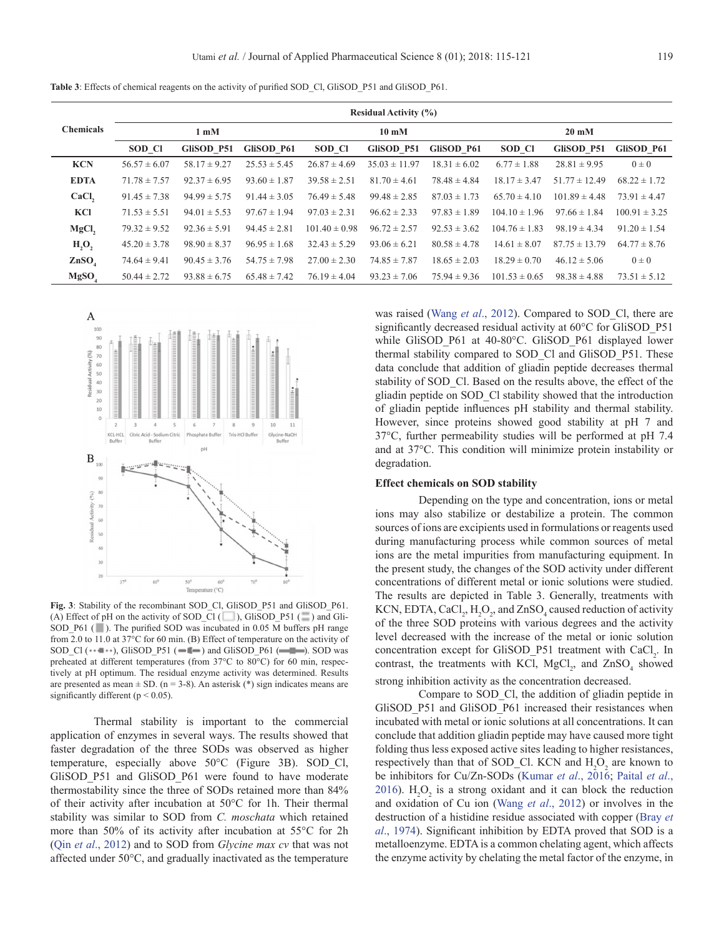**Table 3**: Effects of chemical reagents on the activity of purified SOD Cl, GliSOD P51 and GliSOD P61.

|                   | <b>Residual Activity (%)</b> |                         |                  |                   |                          |                  |                   |                   |                   |
|-------------------|------------------------------|-------------------------|------------------|-------------------|--------------------------|------------------|-------------------|-------------------|-------------------|
| <b>Chemicals</b>  |                              | $1 \text{ }\mathrm{mM}$ |                  |                   | $10 \text{ }\mathrm{mM}$ |                  |                   | $20 \text{ mM}$   |                   |
|                   | SOD CI                       | GliSOD P51              | GliSOD P61       | SOD CI            | GliSOD P51               | GliSOD P61       | SOD CI            | GliSOD P51        | GliSOD P61        |
| <b>KCN</b>        | $56.57 \pm 6.07$             | $58.17 \pm 9.27$        | $25.53 \pm 5.45$ | $26.87 \pm 4.69$  | $35.03 \pm 11.97$        | $18.31 \pm 6.02$ | $6.77 \pm 1.88$   | $28.81 \pm 9.95$  | $0 \pm 0$         |
| <b>EDTA</b>       | $71.78 \pm 7.57$             | $92.37 \pm 6.95$        | $93.60 \pm 1.87$ | $39.58 \pm 2.51$  | $81.70 \pm 4.61$         | $78.48 \pm 4.84$ | $18.17 \pm 3.47$  | $51.77 \pm 12.49$ | $68.22 \pm 1.72$  |
| CaCl,             | $91.45 \pm 7.38$             | $94.99 \pm 5.75$        | $91.44 \pm 3.05$ | $76.49 \pm 5.48$  | $99.48 \pm 2.85$         | $87.03 \pm 1.73$ | $65.70 \pm 4.10$  | $101.89 \pm 4.48$ | $73.91 \pm 4.47$  |
| KCI               | $71.53 \pm 5.51$             | $94.01 \pm 5.53$        | $97.67 \pm 1.94$ | $97.03 \pm 2.31$  | $96.62 \pm 2.33$         | $97.83 \pm 1.89$ | $104.10 \pm 1.96$ | $97.66 \pm 1.84$  | $100.91 \pm 3.25$ |
| MgCl,             | $79.32 \pm 9.52$             | $92.36 \pm 5.91$        | $94.45 \pm 2.81$ | $101.40 \pm 0.98$ | $96.72 \pm 2.57$         | $92.53 \pm 3.62$ | $104.76 \pm 1.83$ | $98.19 \pm 4.34$  | $91.20 \pm 1.54$  |
| H, O,             | $45.20 \pm 3.78$             | $98.90 \pm 8.37$        | $96.95 \pm 1.68$ | $32.43 \pm 5.29$  | $93.06 \pm 6.21$         | $80.58 \pm 4.78$ | $14.61 \pm 8.07$  | $87.75 \pm 13.79$ | $64.77 \pm 8.76$  |
| ZnSO <sub>4</sub> | $74.64 \pm 9.41$             | $90.45 \pm 3.76$        | $54.75 \pm 7.98$ | $27.00 \pm 2.30$  | $74.85 \pm 7.87$         | $18.65 \pm 2.03$ | $18.29 \pm 0.70$  | $46.12 \pm 5.06$  | $0 \pm 0$         |
| MgSO              | $50.44 \pm 2.72$             | $93.88 \pm 6.75$        | $65.48 \pm 7.42$ | $76.19 \pm 4.04$  | $93.23 \pm 7.06$         | $75.94 \pm 9.36$ | $101.53 \pm 0.65$ | $98.38 \pm 4.88$  | $73.51 \pm 5.12$  |



**Fig. 3**: Stability of the recombinant SOD\_Cl, GliSOD\_P51 and GliSOD\_P61. (A) Effect of pH on the activity of SOD\_Cl ( $\Box$ ), GliSOD\_P51 ( $\Box$ ) and Gli-SOD\_P61 ( ). The purified SOD was incubated in 0.05 M buffers pH range from 2.0 to 11.0 at 37°C for 60 min. (B) Effect of temperature on the activity of SOD\_Cl  $(\cdot \cdot \cdot \cdot \cdot)$ , GliSOD\_P51  $(\cdot \cdot \cdot \cdot \cdot)$  and GliSOD\_P61  $(\cdot \cdot \cdot \cdot \cdot)$ . SOD was preheated at different temperatures (from 37°C to 80°C) for 60 min, respectively at pH optimum. The residual enzyme activity was determined. Results are presented as mean  $\pm$  SD. (n = 3-8). An asterisk (\*) sign indicates means are significantly different ( $p < 0.05$ ).

Thermal stability is important to the commercial application of enzymes in several ways. The results showed that faster degradation of the three SODs was observed as higher temperature, especially above 50°C (Figure 3B). SOD\_Cl, GliSOD P51 and GliSOD P61 were found to have moderate thermostability since the three of SODs retained more than 84% of their activity after incubation at 50°C for 1h. Their thermal stability was similar to SOD from *C. moschata* which retained more than 50% of its activity after incubation at 55°C for 2h (Qin *et al*., 2012) and to SOD from *Glycine max cv* that was not affected under 50°C, and gradually inactivated as the temperature

was raised (Wang *et al*[., 2012](#page-6-3)). Compared to SOD\_Cl, there are significantly decreased residual activity at 60°C for GliSOD\_P51 while GliSOD\_P61 at 40-80°C. GliSOD\_P61 displayed lower thermal stability compared to SOD\_Cl and GliSOD\_P51. These data conclude that addition of gliadin peptide decreases thermal stability of SOD\_Cl. Based on the results above, the effect of the gliadin peptide on SOD\_Cl stability showed that the introduction of gliadin peptide influences pH stability and thermal stability. However, since proteins showed good stability at pH 7 and 37°C, further permeability studies will be performed at pH 7.4 and at 37°C. This condition will minimize protein instability or degradation.

#### **Effect chemicals on SOD stability**

Depending on the type and concentration, ions or metal ions may also stabilize or destabilize a protein. The common sources of ions are excipients used in formulations or reagents used during manufacturing process while common sources of metal ions are the metal impurities from manufacturing equipment. In the present study, the changes of the SOD activity under different concentrations of different metal or ionic solutions were studied. The results are depicted in Table 3. Generally, treatments with KCN, EDTA, CaCl<sub>2</sub>,  $H_2O_2$ , and ZnSO<sub>4</sub> caused reduction of activity of the three SOD proteins with various degrees and the activity level decreased with the increase of the metal or ionic solution concentration except for GliSOD\_P51 treatment with CaCl<sub>2</sub>. In contrast, the treatments with KCl,  $MgCl<sub>2</sub>$ , and  $ZnSO<sub>4</sub>$  showed strong inhibition activity as the concentration decreased.

Compare to SOD\_Cl, the addition of gliadin peptide in GliSOD\_P51 and GliSOD\_P61 increased their resistances when incubated with metal or ionic solutions at all concentrations. It can conclude that addition gliadin peptide may have caused more tight folding thus less exposed active sites leading to higher resistances, respectively than that of SOD\_Cl. KCN and  $H_2O_2$  are known to be inhibitors for Cu/Zn-SODs (Kumar *et al*., 2016; [Paital](#page-5-4) *et al*., [2016\)](#page-5-4).  $H_2O_2$  is a strong oxidant and it can block the reduction and oxidation of Cu ion (Wang *et al*[., 2012\)](#page-6-3) or involves in the destruction of a histidine residue associated with copper (Bray *et al*., 1974). Significant inhibition by EDTA proved that SOD is a metalloenzyme. EDTA is a common chelating agent, which affects the enzyme activity by chelating the metal factor of the enzyme, in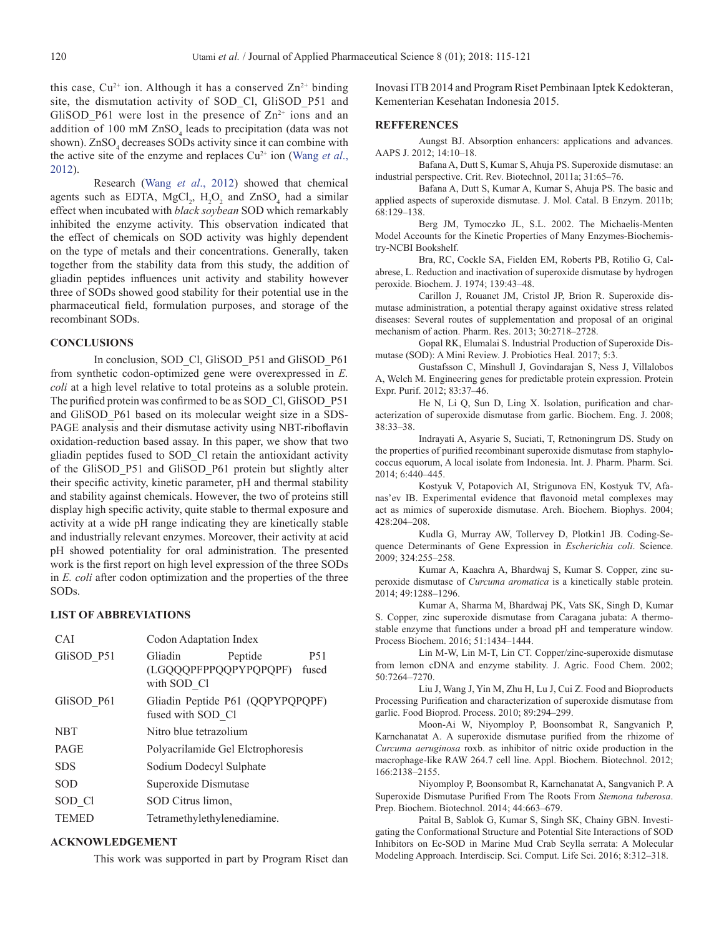this case,  $Cu^{2+}$  ion. Although it has a conserved  $Zn^{2+}$  binding site, the dismutation activity of SOD\_Cl, GliSOD\_P51 and GliSOD P61 were lost in the presence of  $\mathbb{Z}n^{2+}$  ions and an addition of 100 mM  $ZnSO_4$  leads to precipitation (data was not shown). ZnSO<sub>4</sub> decreases SODs activity since it can combine with the active site of the enzyme and replaces Cu<sup>2+</sup> ion ([Wang](#page-6-3) *et al.*, [2012\)](#page-6-3).

Research (Wang *et al*[., 2012](#page-6-3)) showed that chemical agents such as EDTA,  $MgCl_2$ ,  $H_2O_2$  and  $ZnSO_4$  had a similar effect when incubated with *black soybean* SOD which remarkably inhibited the enzyme activity. This observation indicated that the effect of chemicals on SOD activity was highly dependent on the type of metals and their concentrations. Generally, taken together from the stability data from this study, the addition of gliadin peptides influences unit activity and stability however three of SODs showed good stability for their potential use in the pharmaceutical field, formulation purposes, and storage of the recombinant SODs.

### **CONCLUSIONS**

In conclusion, SOD\_Cl, GliSOD\_P51 and GliSOD\_P61 from synthetic codon-optimized gene were overexpressed in *E. coli* at a high level relative to total proteins as a soluble protein. The purified protein was confirmed to be as SOD\_Cl, GliSOD\_P51 and GliSOD\_P61 based on its molecular weight size in a SDS-PAGE analysis and their dismutase activity using NBT-riboflavin oxidation-reduction based assay. In this paper, we show that two gliadin peptides fused to SOD\_Cl retain the antioxidant activity of the GliSOD\_P51 and GliSOD\_P61 protein but slightly alter their specific activity, kinetic parameter, pH and thermal stability and stability against chemicals. However, the two of proteins still display high specific activity, quite stable to thermal exposure and activity at a wide pH range indicating they are kinetically stable and industrially relevant enzymes. Moreover, their activity at acid pH showed potentiality for oral administration. The presented work is the first report on high level expression of the three SODs in *E. coli* after codon optimization and the properties of the three SODs.

#### **LIST OF ABBREVIATIONS**

| CAI          | Codon Adaptation Index                                                         |  |  |
|--------------|--------------------------------------------------------------------------------|--|--|
| GliSOD P51   | Gliadin<br><b>P51</b><br>Peptide<br>(LGQQQPFPPQQPYPQPQPF) fused<br>with SOD Cl |  |  |
| GliSOD P61   | Gliadin Peptide P61 (QQPYPQPQPF)<br>fused with SOD Cl                          |  |  |
| <b>NBT</b>   | Nitro blue tetrazolium                                                         |  |  |
| PAGE         | Polyacrilamide Gel Elctrophoresis                                              |  |  |
| <b>SDS</b>   | Sodium Dodecyl Sulphate                                                        |  |  |
| <b>SOD</b>   | Superoxide Dismutase                                                           |  |  |
| SOD CI       | SOD Citrus limon,                                                              |  |  |
| <b>TEMED</b> | Tetramethylethylenediamine.                                                    |  |  |

## **ACKNOWLEDGEMENT**

This work was supported in part by Program Riset dan

Inovasi ITB 2014 and Program Riset Pembinaan Iptek Kedokteran, Kementerian Kesehatan Indonesia 2015.

#### **REFFERENCES**

Aungst BJ. Absorption enhancers: applications and advances. AAPS J. 2012; 14:10–18.

Bafana A, Dutt S, Kumar S, Ahuja PS. Superoxide dismutase: an industrial perspective. Crit. Rev. Biotechnol, 2011a; 31:65–76.

Bafana A, Dutt S, Kumar A, Kumar S, Ahuja PS. The basic and applied aspects of superoxide dismutase. J. Mol. Catal. B Enzym. 2011b; 68:129–138.

<span id="page-5-3"></span>Berg JM, Tymoczko JL, S.L. 2002. The Michaelis-Menten Model Accounts for the Kinetic Properties of Many Enzymes-Biochemistry-NCBI Bookshelf.

Bra, RC, Cockle SA, Fielden EM, Roberts PB, Rotilio G, Calabrese, L. Reduction and inactivation of superoxide dismutase by hydrogen peroxide. Biochem. J. 1974; 139:43–48.

<span id="page-5-1"></span>Carillon J, Rouanet JM, Cristol JP, Brion R. Superoxide dismutase administration, a potential therapy against oxidative stress related diseases: Several routes of supplementation and proposal of an original mechanism of action. Pharm. Res. 2013; 30:2718–2728.

<span id="page-5-0"></span>Gopal RK, Elumalai S. Industrial Production of Superoxide Dismutase (SOD): A Mini Review. J. Probiotics Heal. 2017; 5:3.

Gustafsson C, Minshull J, Govindarajan S, Ness J, Villalobos A, Welch M. Engineering genes for predictable protein expression. Protein Expr. Purif. 2012; 83:37–46.

He N, Li Q, Sun D, Ling X. Isolation, purification and characterization of superoxide dismutase from garlic. Biochem. Eng. J. 2008; 38:33–38.

Indrayati A, Asyarie S, Suciati, T, Retnoningrum DS. Study on the properties of purified recombinant superoxide dismutase from staphylococcus equorum, A local isolate from Indonesia. Int. J. Pharm. Pharm. Sci. 2014; 6:440–445.

Kostyuk V, Potapovich AI, Strigunova EN, Kostyuk TV, Afanas'ev IB. Experimental evidence that flavonoid metal complexes may act as mimics of superoxide dismutase. Arch. Biochem. Biophys. 2004; 428:204–208.

Kudla G, Murray AW, Tollervey D, Plotkin1 JB. Coding-Sequence Determinants of Gene Expression in *Escherichia coli*. Science. 2009; 324:255–258.

Kumar A, Kaachra A, Bhardwaj S, Kumar S. Copper, zinc superoxide dismutase of *Curcuma aromatica* is a kinetically stable protein. 2014; 49:1288–1296.

Kumar A, Sharma M, Bhardwaj PK, Vats SK, Singh D, Kumar S. Copper, zinc superoxide dismutase from Caragana jubata: A thermostable enzyme that functions under a broad pH and temperature window. Process Biochem. 2016; 51:1434–1444.

Lin M-W, Lin M-T, Lin CT. Copper/zinc-superoxide dismutase from lemon cDNA and enzyme stability. J. Agric. Food Chem. 2002; 50:7264–7270.

Liu J, Wang J, Yin M, Zhu H, Lu J, Cui Z. Food and Bioproducts Processing Purification and characterization of superoxide dismutase from garlic. Food Bioprod. Process. 2010; 89:294–299.

<span id="page-5-2"></span>Moon-Ai W, Niyomploy P, Boonsombat R, Sangvanich P, Karnchanatat A. A superoxide dismutase purified from the rhizome of *Curcuma aeruginosa* roxb. as inhibitor of nitric oxide production in the macrophage-like RAW 264.7 cell line. Appl. Biochem. Biotechnol. 2012; 166:2138–2155.

Niyomploy P, Boonsombat R, Karnchanatat A, Sangvanich P. A Superoxide Dismutase Purified From The Roots From *Stemona tuberosa*. Prep. Biochem. Biotechnol. 2014; 44:663–679.

<span id="page-5-4"></span>Paital B, Sablok G, Kumar S, Singh SK, Chainy GBN. Investigating the Conformational Structure and Potential Site Interactions of SOD Inhibitors on Ec-SOD in Marine Mud Crab Scylla serrata: A Molecular Modeling Approach. Interdiscip. Sci. Comput. Life Sci. 2016; 8:312–318.